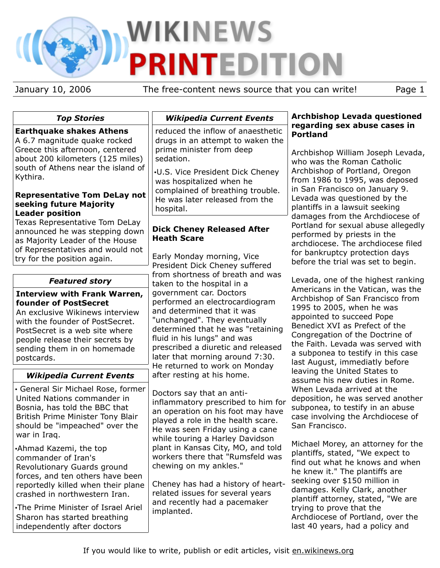# WIKINEWS **PRINTEDITION**

January 10, 2006 The free-content news source that you can write! Page 1

# *Top Stories*

## **Earthquake shakes Athens**

A 6.7 magnitude quake rocked Greece this afternoon, centered about 200 kilometers (125 miles) south of Athens near the island of Kythira.

#### **Representative Tom DeLay not seeking future Majority Leader position**

Texas Representative Tom DeLay announced he was stepping down as Majority Leader of the House of Representatives and would not try for the position again.

## *Featured story*

#### **Interview with Frank Warren, founder of PostSecret**

An exclusive Wikinews interview with the founder of PostSecret. PostSecret is a web site where people release their secrets by sending them in on homemade postcards.

# *Wikipedia Current Events*

• General Sir Michael Rose, former United Nations commander in Bosnia, has told the BBC that British Prime Minister Tony Blair should be "impeached" over the war in Iraq.

•Ahmad Kazemi, the top commander of Iran's Revolutionary Guards ground forces, and ten others have been reportedly killed when their plane crashed in northwestern Iran.

•The Prime Minister of Israel Ariel Sharon has started breathing independently after doctors

## *Wikipedia Current Events*

reduced the inflow of anaesthetic drugs in an attempt to waken the prime minister from deep sedation.

•U.S. Vice President Dick Cheney was hospitalized when he complained of breathing trouble. He was later released from the hospital.

## **Dick Cheney Released After Heath Scare**

Early Monday morning, Vice President Dick Cheney suffered from shortness of breath and was taken to the hospital in a government car. Doctors performed an electrocardiogram and determined that it was "unchanged". They eventually determined that he was "retaining fluid in his lungs" and was prescribed a diuretic and released later that morning around 7:30. He returned to work on Monday after resting at his home.

Doctors say that an antiinflammatory prescribed to him for an operation on his foot may have played a role in the health scare. He was seen Friday using a cane while touring a Harley Davidson plant in Kansas City, MO, and told workers there that "Rumsfeld was chewing on my ankles."

Cheney has had a history of heartrelated issues for several years and recently had a pacemaker implanted.

#### **Archbishop Levada questioned regarding sex abuse cases in Portland**

Archbishop William Joseph Levada, who was the Roman Catholic Archbishop of Portland, Oregon from 1986 to 1995, was deposed in San Francisco on January 9. Levada was questioned by the plantiffs in a lawsuit seeking damages from the Archdiocese of Portland for sexual abuse allegedly performed by priests in the archdiocese. The archdiocese filed for bankruptcy protection days before the trial was set to begin.

Levada, one of the highest ranking Americans in the Vatican, was the Archbishop of San Francisco from 1995 to 2005, when he was appointed to succeed Pope Benedict XVI as Prefect of the Congregation of the Doctrine of the Faith. Levada was served with a subponea to testify in this case last August, immediatly before leaving the United States to assume his new duties in Rome. When Levada arrived at the deposition, he was served another subponea, to testify in an abuse case involving the Archdiocese of San Francisco.

Michael Morey, an attorney for the plantiffs, stated, "We expect to find out what he knows and when he knew it." The plantiffs are seeking over \$150 million in damages. Kelly Clark, another plantiff attorney, stated, "We are trying to prove that the Archdiocese of Portland, over the last 40 years, had a policy and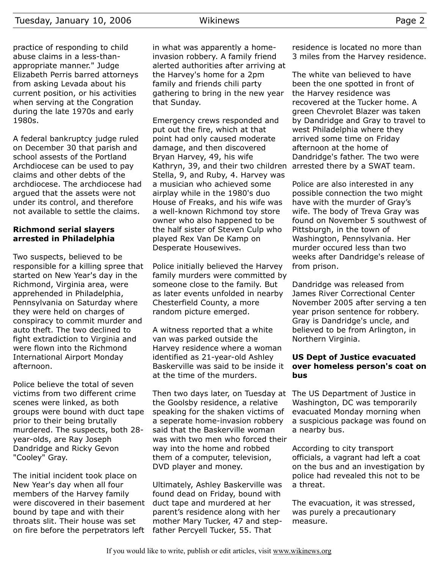practice of responding to child abuse claims in a less-thanappropriate manner." Judge Elizabeth Perris barred attorneys from asking Levada about his current position, or his activities when serving at the Congration during the late 1970s and early 1980s.

A federal bankruptcy judge ruled on December 30 that parish and school assests of the Portland Archdiocese can be used to pay claims and other debts of the archdiocese. The archdiocese had argued that the assets were not under its control, and therefore not available to settle the claims.

#### **Richmond serial slayers arrested in Philadelphia**

Two suspects, believed to be responsible for a killing spree that started on New Year's day in the Richmond, Virginia area, were apprehended in Philadelphia, Pennsylvania on Saturday where they were held on charges of conspiracy to commit murder and auto theft. The two declined to fight extradiction to Virginia and were flown into the Richmond International Airport Monday afternoon.

Police believe the total of seven victims from two different crime scenes were linked, as both groups were bound with duct tape prior to their being brutally murdered. The suspects, both 28 year-olds, are Ray Joseph Dandridge and Ricky Gevon "Cooley" Gray.

The initial incident took place on New Year's day when all four members of the Harvey family were discovered in their basement bound by tape and with their throats slit. Their house was set on fire before the perpetrators left father Percyell Tucker, 55. That

in what was apparently a homeinvasion robbery. A family friend alerted authorities after arriving at the Harvey's home for a 2pm family and friends chili party gathering to bring in the new year that Sunday.

Emergency crews responded and put out the fire, which at that point had only caused moderate damage, and then discovered Bryan Harvey, 49, his wife Kathryn, 39, and their two children Stella, 9, and Ruby, 4. Harvey was a musician who achieved some airplay while in the 1980's duo House of Freaks, and his wife was a well-known Richmond toy store owner who also happened to be the half sister of Steven Culp who played Rex Van De Kamp on Desperate Housewives.

Police initially believed the Harvey family murders were committed by someone close to the family. But as later events unfolded in nearby Chesterfield County, a more random picture emerged.

A witness reported that a white van was parked outside the Harvey residence where a woman identified as 21-year-old Ashley Baskerville was said to be inside it at the time of the murders.

Then two days later, on Tuesday at The US Department of Justice in the Goolsby residence, a relative speaking for the shaken victims of a seperate home-invasion robbery said that the Baskerville woman was with two men who forced their way into the home and robbed them of a computer, television, DVD player and money.

Ultimately, Ashley Baskerville was found dead on Friday, bound with duct tape and murdered at her parent's residence along with her mother Mary Tucker, 47 and stepresidence is located no more than 3 miles from the Harvey residence.

The white van believed to have been the one spotted in front of the Harvey residence was recovered at the Tucker home. A green Chevrolet Blazer was taken by Dandridge and Gray to travel to west Philadelphia where they arrived some time on Friday afternoon at the home of Dandridge's father. The two were arrested there by a SWAT team.

Police are also interested in any possible connection the two might have with the murder of Gray's wife. The body of Treva Gray was found on November 5 southwest of Pittsburgh, in the town of Washington, Pennsylvania. Her murder occured less than two weeks after Dandridge's release of from prison.

Dandridge was released from James River Correctional Center November 2005 after serving a ten year prison sentence for robbery. Gray is Dandridge's uncle, and believed to be from Arlington, in Northern Virginia.

#### **US Dept of Justice evacuated over homeless person's coat on bus**

Washington, DC was temporarily evacuated Monday morning when a suspicious package was found on a nearby bus.

According to city transport officials, a vagrant had left a coat on the bus and an investigation by police had revealed this not to be a threat.

The evacuation, it was stressed, was purely a precautionary measure.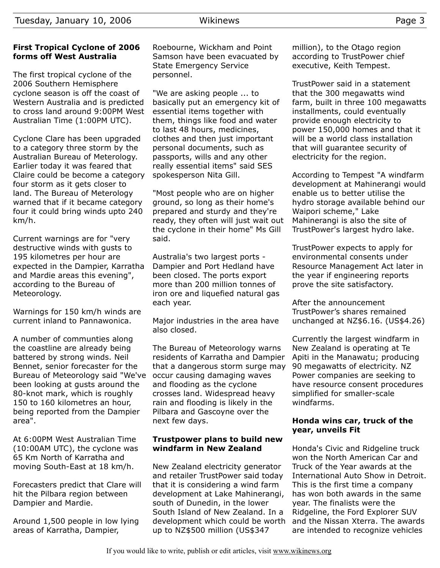## **First Tropical Cyclone of 2006 forms off West Australia**

The first tropical cyclone of the 2006 Southern Hemisphere cyclone season is off the coast of Western Australia and is predicted to cross land around 9:00PM West Australian Time (1:00PM UTC).

Cyclone Clare has been upgraded to a category three storm by the Australian Bureau of Meterology. Earlier today it was feared that Claire could be become a category four storm as it gets closer to land. The Bureau of Meterology warned that if it became category four it could bring winds upto 240 km/h.

Current warnings are for "very destructive winds with gusts to 195 kilometres per hour are expected in the Dampier, Karratha and Mardie areas this evening", according to the Bureau of Meteorology.

Warnings for 150 km/h winds are current inland to Pannawonica.

A number of communties along the coastline are already being battered by strong winds. Neil Bennet, senior forecaster for the Bureau of Meteorology said "We've been looking at gusts around the 80-knot mark, which is roughly 150 to 160 kilometres an hour, being reported from the Dampier area".

At 6:00PM West Australian Time (10:00AM UTC), the cyclone was 65 Km North of Karratha and moving South-East at 18 km/h.

Forecasters predict that Clare will hit the Pilbara region between Dampier and Mardie.

Around 1,500 people in low lying areas of Karratha, Dampier,

Roebourne, Wickham and Point Samson have been evacuated by State Emergency Service personnel.

"We are asking people ... to basically put an emergency kit of essential items together with them, things like food and water to last 48 hours, medicines, clothes and then just important personal documents, such as passports, wills and any other really essential items" said SES spokesperson Nita Gill.

"Most people who are on higher ground, so long as their home's prepared and sturdy and they're ready, they often will just wait out the cyclone in their home" Ms Gill said.

Australia's two largest ports - Dampier and Port Hedland have been closed. The ports export more than 200 million tonnes of iron ore and liquefied natural gas each year.

Major industries in the area have also closed.

The Bureau of Meteorology warns residents of Karratha and Dampier that a dangerous storm surge may occur causing damaging waves and flooding as the cyclone crosses land. Widespread heavy rain and flooding is likely in the Pilbara and Gascoyne over the next few days.

#### **Trustpower plans to build new windfarm in New Zealand**

New Zealand electricity generator and retailer TrustPower said today that it is considering a wind farm development at Lake Mahinerangi, south of Dunedin, in the lower South Island of New Zealand. In a development which could be worth up to NZ\$500 million (US\$347

million), to the Otago region according to TrustPower chief executive, Keith Tempest.

TrustPower said in a statement that the 300 megawatts wind farm, built in three 100 megawatts installments, could eventually provide enough electricity to power 150,000 homes and that it will be a world class installation that will guarantee security of electricity for the region.

According to Tempest "A windfarm development at Mahinerangi would enable us to better utilise the hydro storage available behind our Waipori scheme," Lake Mahinerangi is also the site of TrustPower's largest hydro lake.

TrustPower expects to apply for environmental consents under Resource Management Act later in the year if engineering reports prove the site satisfactory.

After the announcement TrustPower's shares remained unchanged at NZ\$6.16. (US\$4.26)

Currently the largest windfarm in New Zealand is operating at Te Apiti in the Manawatu; producing 90 megawatts of electricity. NZ Power companies are seeking to have resource consent procedures simplified for smaller-scale windfarms.

### **Honda wins car, truck of the year, unveils Fit**

Honda's Civic and Ridgeline truck won the North American Car and Truck of the Year awards at the International Auto Show in Detroit. This is the first time a company has won both awards in the same year. The finalists were the Ridgeline, the Ford Explorer SUV and the Nissan Xterra. The awards are intended to recognize vehicles